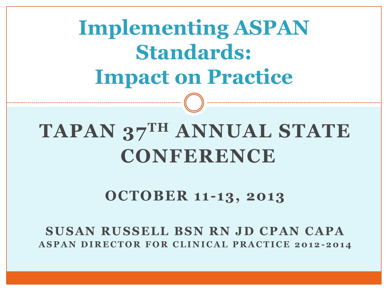**Implementing ASPAN Standards: Impact on Practice**

# **TAPAN 37TH ANNUAL STATE CONFERENCE**

#### **OCTOBER 11-13, 2013**

**SUSAN RUSSELL BSN RN JD CPAN CAPA ASPAN DIRECTOR FOR CLINICAL PRACTICE 2012 -2014**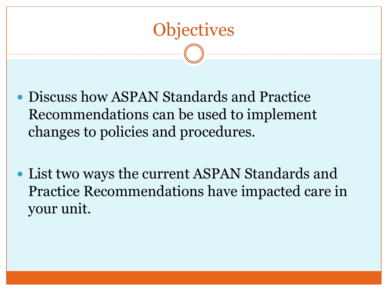

- Discuss how ASPAN Standards and Practice Recommendations can be used to implement changes to policies and procedures.
- List two ways the current ASPAN Standards and Practice Recommendations have impacted care in your unit.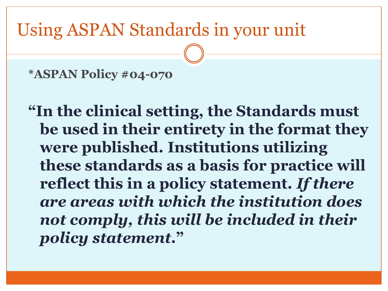## Using ASPAN Standards in your unit

**\*ASPAN Policy #04-070** 

**"In the clinical setting, the Standards must be used in their entirety in the format they were published. Institutions utilizing these standards as a basis for practice will reflect this in a policy statement.** *If there are areas with which the institution does not comply, this will be included in their policy statement***."**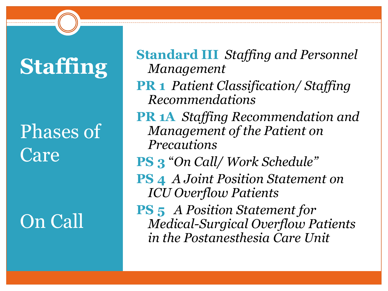# **Staffing**

# Phases of Care

# On Call

**Standard III** *Staffing and Personnel Management*

- **PR 1** *Patient Classification/ Staffing Recommendations*
- **PR 1A** *Staffing Recommendation and Management of the Patient on Precautions*
- **PS 3** "*On Call/ Work Schedule"*
- **PS 4** *A Joint Position Statement on ICU Overflow Patients*
- **PS 5** *A Position Statement for Medical-Surgical Overflow Patients in the Postanesthesia Care Unit*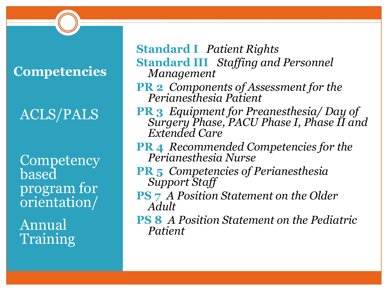#### **Competencies**

### ACLS/PALS

**Competency** based program for orientation/

Annual Training **Standard I** *Patient Rights* **Standard III** *Staffing and Personnel Management*

- **PR 2** *Components of Assessment for the Perianesthesia Patient*
- **PR 3** *Equipment for Preanesthesia/ Day of Surgery Phase, PACU Phase I, Phase II and Extended Care*
- **PR 4** *Recommended Competencies for the Perianesthesia Nurse*
- **PR 5** *Competencies of Perianesthesia Support Staff*
- **PS 7** *A Position Statement on the Older Adult*
- **PS 8** *A Position Statement on the Pediatric Patient*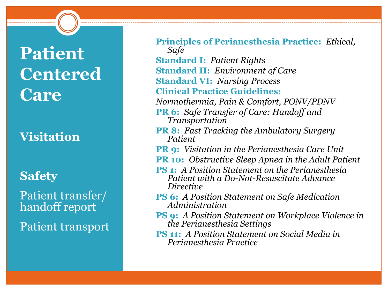# **Patient Centered Care**

#### **Visitation**

#### **Safety**

Patient transfer/ handoff report

Patient transport

| <b>Principles of Perianesthesia Practice: Ethical,</b><br>Safe                                                    |
|-------------------------------------------------------------------------------------------------------------------|
| <b>Standard I: Patient Rights</b>                                                                                 |
| <b>Standard II: Environment of Care</b>                                                                           |
| <b>Standard VI: Nursing Process</b>                                                                               |
| <b>Clinical Practice Guidelines:</b>                                                                              |
| Normothermia, Pain & Comfort, PONV/PDNV                                                                           |
| <b>PR 6:</b> Safe Transfer of Care: Handoff and<br>Transportation                                                 |
| <b>PR 8:</b> Fast Tracking the Ambulatory Surgery<br>Patient                                                      |
| <b>PR 9:</b> Visitation in the Perianesthesia Care Unit                                                           |
| <b>PR 10:</b> Obstructive Sleep Apnea in the Adult Patient                                                        |
| <b>PS 1:</b> A Position Statement on the Perianesthesia<br>Patient with a Do-Not-Resuscitate Advance<br>Directive |
| <b>PS 6:</b> A Position Statement on Safe Medication<br>Administration                                            |
| <b>PS 9:</b> A Position Statement on Workplace Violence in<br>the Perianesthesia Settings                         |
| <b>PS 11:</b> A Position Statement on Social Media in<br>Perianesthesia Practice                                  |
|                                                                                                                   |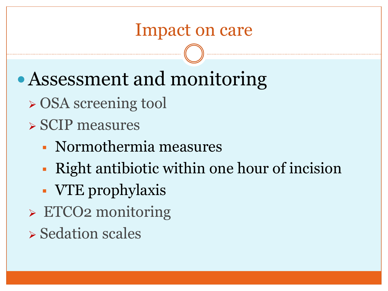- Assessment and monitoring
	- OSA screening tool
	- SCIP measures
		- Normothermia measures
		- Right antibiotic within one hour of incision
		- VTE prophylaxis
	- ETCO2 monitoring
	- $\triangleright$  Sedation scales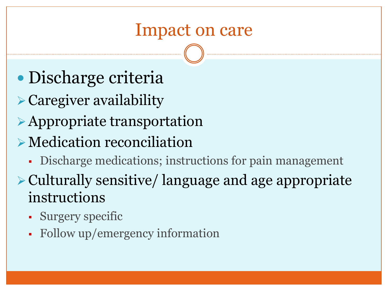- Discharge criteria
- Caregiver availability
- Appropriate transportation
- Medication reconciliation
	- Discharge medications; instructions for pain management
- Culturally sensitive/ language and age appropriate instructions
	- Surgery specific
	- Follow up/emergency information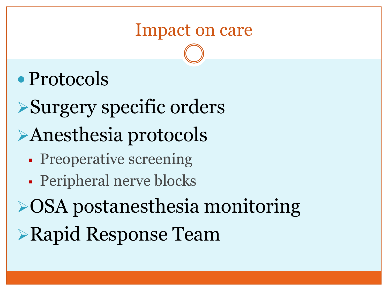# • Protocols

- Surgery specific orders Anesthesia protocols
	- **Preoperative screening**
	- Peripheral nerve blocks
- **≻OSA postanesthesia monitoring** Rapid Response Team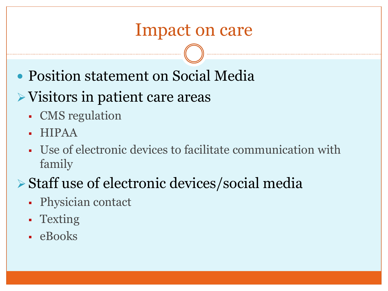- Position statement on Social Media
- Visitors in patient care areas
	- CMS regulation
	- HIPAA
	- Use of electronic devices to facilitate communication with family
- Staff use of electronic devices/social media
	- Physician contact
	- Texting
	- eBooks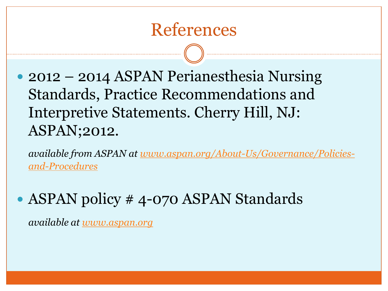## References

• 2012 – 2014 ASPAN Perianesthesia Nursing Standards, Practice Recommendations and Interpretive Statements. Cherry Hill, NJ: ASPAN;2012.

*available from ASPAN at [www.aspan.org/About-Us/Governance/Policies](http://www.aspan.org/About-Us/Governance/Policies-and-Procedures)[and-Procedures](http://www.aspan.org/About-Us/Governance/Policies-and-Procedures)*

• ASPAN policy #4-070 ASPAN Standards

*available at [www.aspan.org](http://www.aspan.org/)*